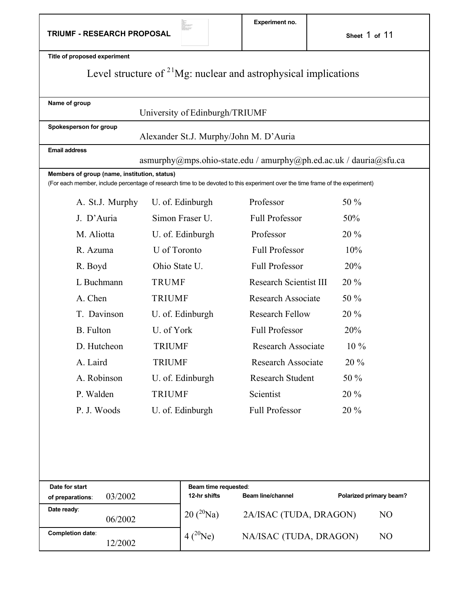| Title of proposed experiment                  |                                        |                                                                                                                               |                         |  |
|-----------------------------------------------|----------------------------------------|-------------------------------------------------------------------------------------------------------------------------------|-------------------------|--|
|                                               |                                        | Level structure of $2^{1}Mg$ : nuclear and astrophysical implications                                                         |                         |  |
| Name of group                                 | University of Edinburgh/TRIUMF         |                                                                                                                               |                         |  |
| Spokesperson for group                        | Alexander St.J. Murphy/John M. D'Auria |                                                                                                                               |                         |  |
| <b>Email address</b>                          |                                        |                                                                                                                               |                         |  |
| Members of group (name, institution, status)  |                                        | $a$ smurphy@mps.ohio-state.edu / amurphy@ph.ed.ac.uk / dauria@sfu.ca                                                          |                         |  |
|                                               |                                        | (For each member, include percentage of research time to be devoted to this experiment over the time frame of the experiment) |                         |  |
| A. St.J. Murphy                               | U. of. Edinburgh                       | Professor                                                                                                                     | 50 %                    |  |
| J. D'Auria                                    | Simon Fraser U.                        | <b>Full Professor</b>                                                                                                         | 50%                     |  |
| M. Aliotta                                    | U. of. Edinburgh                       | Professor                                                                                                                     | 20 %                    |  |
| R. Azuma                                      | U of Toronto                           | <b>Full Professor</b>                                                                                                         | 10%                     |  |
| R. Boyd                                       | Ohio State U.                          | <b>Full Professor</b>                                                                                                         | 20%                     |  |
| L Buchmann                                    | <b>TRUMF</b>                           | <b>Research Scientist III</b>                                                                                                 | 20 %                    |  |
| A. Chen                                       | <b>TRIUMF</b>                          | <b>Research Associate</b>                                                                                                     | 50 %                    |  |
| T. Davinson                                   | U. of. Edinburgh                       | <b>Research Fellow</b>                                                                                                        | 20 %                    |  |
| <b>B.</b> Fulton                              | U. of York                             | <b>Full Professor</b>                                                                                                         | 20%                     |  |
| D. Hutcheon                                   | <b>TRIUMF</b>                          | <b>Research Associate</b>                                                                                                     | $10\%$                  |  |
| A. Laird                                      | <b>TRIUMF</b>                          | <b>Research Associate</b>                                                                                                     | 20 %                    |  |
| A. Robinson                                   | U. of. Edinburgh                       | <b>Research Student</b>                                                                                                       | 50 %                    |  |
| P. Walden                                     | <b>TRIUMF</b>                          | Scientist                                                                                                                     | 20 %                    |  |
| P. J. Woods                                   | U. of. Edinburgh                       | <b>Full Professor</b>                                                                                                         | 20 %                    |  |
|                                               |                                        |                                                                                                                               |                         |  |
|                                               |                                        |                                                                                                                               |                         |  |
|                                               |                                        |                                                                                                                               |                         |  |
|                                               |                                        |                                                                                                                               |                         |  |
| Date for start<br>03/2002<br>of preparations: | Beam time requested:<br>12-hr shifts   | <b>Beam line/channel</b>                                                                                                      | Polarized primary beam? |  |
| Date ready:<br>06/2002                        | $20(^{20}Na)$                          | 2A/ISAC (TUDA, DRAGON)                                                                                                        | N <sub>O</sub>          |  |
| <b>Completion date:</b><br>12/2002            | $4(^{20}Ne)$                           | NA/ISAC (TUDA, DRAGON)                                                                                                        | N <sub>O</sub>          |  |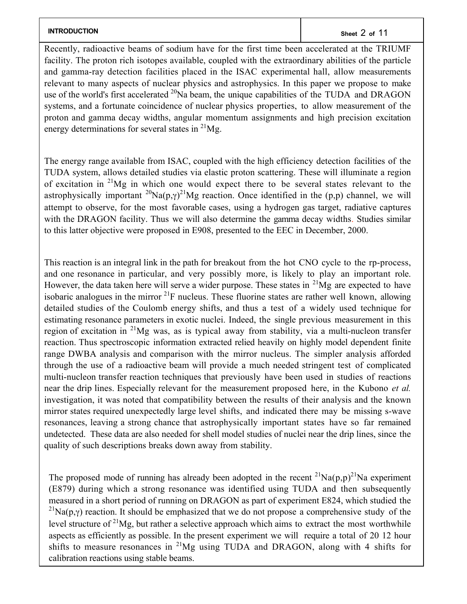# **INTRODUCTION** Sheet 2 of 11

Recently, radioactive beams of sodium have for the first time been accelerated at the TRIUMF facility. The proton rich isotopes available, coupled with the extraordinary abilities of the particle and gamma-ray detection facilities placed in the ISAC experimental hall, allow measurements relevant to many aspects of nuclear physics and astrophysics. In this paper we propose to make use of the world's first accelerated  $^{20}$ Na beam, the unique capabilities of the TUDA and DRAGON systems, and a fortunate coincidence of nuclear physics properties, to allow measurement of the proton and gamma decay widths, angular momentum assignments and high precision excitation energy determinations for several states in  $^{21}Mg$ .

The energy range available from ISAC, coupled with the high efficiency detection facilities of the TUDA system, allows detailed studies via elastic proton scattering. These will illuminate a region of excitation in  $2^{1}Mg$  in which one would expect there to be several states relevant to the astrophysically important <sup>20</sup>Na(p, $\gamma$ )<sup>21</sup>Mg reaction. Once identified in the (p,p) channel, we will attempt to observe, for the most favorable cases, using a hydrogen gas target, radiative captures with the DRAGON facility. Thus we will also determine the gamma decay widths. Studies similar to this latter objective were proposed in E908, presented to the EEC in December, 2000.

This reaction is an integral link in the path for breakout from the hot CNO cycle to the rp-process, and one resonance in particular, and very possibly more, is likely to play an important role. However, the data taken here will serve a wider purpose. These states in  $^{21}Mg$  are expected to have isobaric analogues in the mirror  $^{21}F$  nucleus. These fluorine states are rather well known, allowing detailed studies of the Coulomb energy shifts, and thus a test of a widely used technique for estimating resonance parameters in exotic nuclei. Indeed, the single previous measurement in this region of excitation in 21Mg was, as is typical away from stability, via a multi-nucleon transfer reaction. Thus spectroscopic information extracted relied heavily on highly model dependent finite range DWBA analysis and comparison with the mirror nucleus. The simpler analysis afforded through the use of a radioactive beam will provide a much needed stringent test of complicated multi-nucleon transfer reaction techniques that previously have been used in studies of reactions near the drip lines. Especially relevant for the measurement proposed here, in the Kubono *et al.* investigation, it was noted that compatibility between the results of their analysis and the known mirror states required unexpectedly large level shifts, and indicated there may be missing s-wave resonances, leaving a strong chance that astrophysically important states have so far remained undetected. These data are also needed for shell model studies of nuclei near the drip lines, since the quality of such descriptions breaks down away from stability.

The proposed mode of running has already been adopted in the recent  $^{21}Na(p,p)^{21}Na$  experiment (E879) during which a strong resonance was identified using TUDA and then subsequently measured in a short period of running on DRAGON as part of experiment E824, which studied the <sup>21</sup>Na(p,*y*) reaction. It should be emphasized that we do not propose a comprehensive study of the level structure of  $^{21}$ Mg, but rather a selective approach which aims to extract the most worthwhile aspects as efficiently as possible. In the present experiment we will require a total of 20 12 hour shifts to measure resonances in  $^{21}Mg$  using TUDA and DRAGON, along with 4 shifts for calibration reactions using stable beams.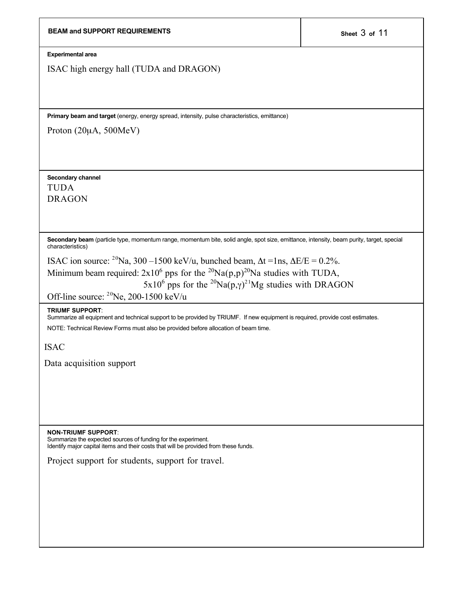| <b>BEAM and SUPPORT REQUIREMENTS</b>                                                                                                                                                                                                                                                                                                                   | Sheet 3 of 11 |
|--------------------------------------------------------------------------------------------------------------------------------------------------------------------------------------------------------------------------------------------------------------------------------------------------------------------------------------------------------|---------------|
| <b>Experimental area</b>                                                                                                                                                                                                                                                                                                                               |               |
| ISAC high energy hall (TUDA and DRAGON)                                                                                                                                                                                                                                                                                                                |               |
| Primary beam and target (energy, energy spread, intensity, pulse characteristics, emittance)                                                                                                                                                                                                                                                           |               |
| Proton $(20\mu A, 500MeV)$                                                                                                                                                                                                                                                                                                                             |               |
| Secondary channel<br><b>TUDA</b><br><b>DRAGON</b>                                                                                                                                                                                                                                                                                                      |               |
| Secondary beam (particle type, momentum range, momentum bite, solid angle, spot size, emittance, intensity, beam purity, target, special<br>characteristics)                                                                                                                                                                                           |               |
| ISAC ion source: <sup>20</sup> Na, 300 –1500 keV/u, bunched beam, $\Delta t = 1$ ns, $\Delta E/E = 0.2\%$ .<br>Minimum beam required: $2x10^6$ pps for the <sup>20</sup> Na(p,p) <sup>20</sup> Na studies with TUDA,<br>$5x10^6$ pps for the <sup>20</sup> Na(p,y) <sup>21</sup> Mg studies with DRAGON<br>Off-line source: $^{20}$ Ne, 200-1500 keV/u |               |
| <b>TRIUMF SUPPORT:</b><br>Summarize all equipment and technical support to be provided by TRIUMF. If new equipment is required, provide cost estimates.<br>NOTE: Technical Review Forms must also be provided before allocation of beam time.                                                                                                          |               |
| <b>ISAC</b>                                                                                                                                                                                                                                                                                                                                            |               |
| Data acquisition support                                                                                                                                                                                                                                                                                                                               |               |
| <b>NON-TRIUMF SUPPORT:</b><br>Summarize the expected sources of funding for the experiment.<br>Identify major capital items and their costs that will be provided from these funds.                                                                                                                                                                    |               |
| Project support for students, support for travel.                                                                                                                                                                                                                                                                                                      |               |
|                                                                                                                                                                                                                                                                                                                                                        |               |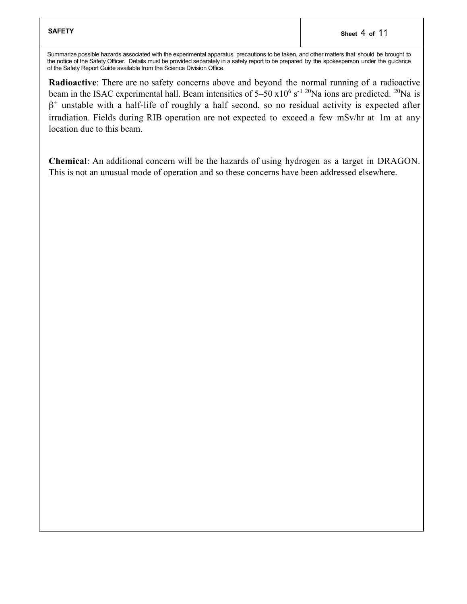Summarize possible hazards associated with the experimental apparatus, precautions to be taken, and other matters that should be brought to the notice of the Safety Officer. Details must be provided separately in a safety report to be prepared by the spokesperson under the guidance of the Safety Report Guide available from the Science Division Office.

Radioactive: There are no safety concerns above and beyond the normal running of a radioactive beam in the ISAC experimental hall. Beam intensities of  $5-50 \times 10^6$  s<sup>-1 20</sup>Na ions are predicted. <sup>20</sup>Na is  $\beta^+$  unstable with a half-life of roughly a half second, so no residual activity is expected after irradiation. Fields during RIB operation are not expected to exceed a few mSv/hr at 1m at any location due to this beam.

Chemical: An additional concern will be the hazards of using hydrogen as a target in DRAGON. This is not an unusual mode of operation and so these concerns have been addressed elsewhere.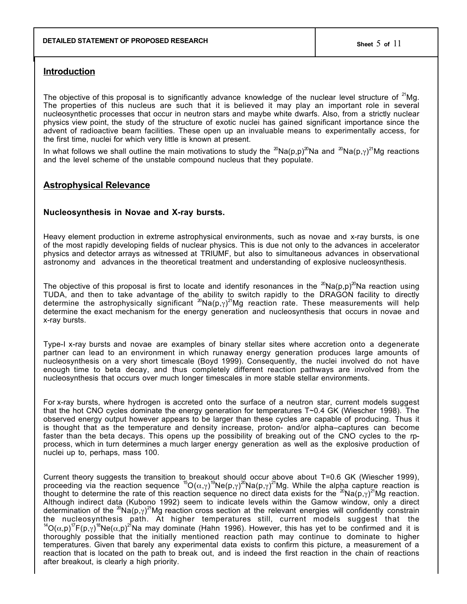### **Introduction**

The objective of this proposal is to significantly advance knowledge of the nuclear level structure of  $2^{1}$ Mg. The properties of this nucleus are such that it is believed it may play an important role in several nucleosynthetic processes that occur in neutron stars and maybe white dwarfs. Also, from a strictly nuclear physics view point, the study of the structure of exotic nuclei has gained significant importance since the advent of radioactive beam facilities. These open up an invaluable means to experimentally access, for the first time, nuclei for which very little is known at present.

In what follows we shall outline the main motivations to study the  $^{20}$ Na(p,p) $^{20}$ Na and  $^{20}$ Na(p, $\gamma$ ) $^{21}$ Mg reactions and the level scheme of the unstable compound nucleus that they populate.

## **Astrophysical Relevance**

#### **Nucleosynthesis in Novae and X-ray bursts.**

Heavy element production in extreme astrophysical environments, such as novae and x-ray bursts, is one of the most rapidly developing fields of nuclear physics. This is due not only to the advances in accelerator physics and detector arrays as witnessed at TRIUMF, but also to simultaneous advances in observational astronomy and advances in the theoretical treatment and understanding of explosive nucleosynthesis.

The objective of this proposal is first to locate and identify resonances in the  $20Na(p,p)$  Na reaction using TUDA, and then to take advantage of the ability to switch rapidly to the DRAGON facility to directly determine the astrophysically significant  ${}^{20}\text{Na}(\text{p},\gamma)^{21}\text{Mg}$  reaction rate. These measurements will help determine the exact mechanism for the energy generation and nucleosynthesis that occurs in novae and x-ray bursts.

Type-I x-ray bursts and novae are examples of binary stellar sites where accretion onto a degenerate partner can lead to an environment in which runaway energy generation produces large amounts of nucleosynthesis on a very short timescale (Boyd 1999). Consequently, the nuclei involved do not have enough time to beta decay, and thus completely different reaction pathways are involved from the nucleosynthesis that occurs over much longer timescales in more stable stellar environments.

For x-ray bursts, where hydrogen is accreted onto the surface of a neutron star, current models suggest that the hot CNO cycles dominate the energy generation for temperatures T~0.4 GK (Wiescher 1998). The observed energy output however appears to be larger than these cycles are capable of producing. Thus it is thought that as the temperature and density increase, proton- and/or alpha–captures can become faster than the beta decays. This opens up the possibility of breaking out of the CNO cycles to the rpprocess, which in turn determines a much larger energy generation as well as the explosive production of nuclei up to, perhaps, mass 100.

Current theory suggests the transition to breakout should occur above about T=0.6 GK (Wiescher 1999), proceeding via the reaction sequence <sup>15</sup>O(α,γ)<sup>19</sup>Ne(p,γ)<sup>20</sup>Na(p,γ)<sup>21</sup>Mg. While the alpha capture reaction is thought to determine the rate of this reaction sequence no direct data exists for the <sup>20</sup>Na(p,γ)<sup>21</sup>Mg reaction. Although indirect data (Kubono 1992) seem to indicate levels within the Gamow window, only a direct determination of the  ${}^{20}\text{Na}(\text{p},\gamma)^{21}\text{Mg}$  reaction cross section at the relevant energies will confidently constrain the nucleosynthesis path. At higher temperatures still, current models suggest that the <sup>14</sup>O(α,p)<sup>17</sup>F(p,γ)<sup>18</sup>Ne(α,p)<sup>21</sup>Na may dominate (Hahn 1996). However, this has yet to be confirmed and it is thoroughly possible that the initially mentioned reaction path may continue to dominate to higher temperatures. Given that barely any experimental data exists to confirm this picture, a measurement of a reaction that is located on the path to break out, and is indeed the first reaction in the chain of reactions after breakout, is clearly a high priority.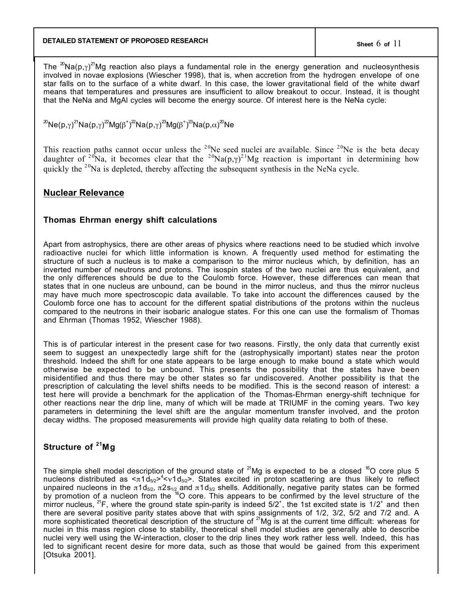## **DETAILED STATEMENT OF PROPOSED RESEARCH Sheet** 6 **of** 11

The <sup>20</sup>Na(p, $\gamma$ )<sup>21</sup>Mg reaction also plays a fundamental role in the energy generation and nucleosynthesis involved in novae explosions (Wiescher 1998), that is, when accretion from the hydrogen envelope of one star falls on to the surface of a white dwarf. In this case, the lower gravitational field of the white dwarf means that temperatures and pressures are insufficient to allow breakout to occur. Instead, it is thought that the NeNa and MgAl cycles will become the energy source. Of interest here is the NeNa cycle:

<sup>20</sup>Ne(p,γ)<sup>21</sup>Na(p,γ)<sup>22</sup>Mg(β<sup>+</sup>)<sup>22</sup>Na(p,γ)<sup>23</sup>Mg(β<sup>+</sup>)<sup>23</sup>Na(p,α)<sup>20</sup>Ne

This reaction paths cannot occur unless the  $20$ Ne seed nuclei are available. Since  $20$ Ne is the beta decay daughter of <sup>20</sup>Na, it becomes clear that the <sup>20</sup>Na(p, $\gamma$ )<sup>21</sup>Mg reaction is important in determining how quickly the  $20$ Na is depleted, thereby affecting the subsequent synthesis in the NeNa cycle.

### **Nuclear Relevance**

### **Thomas Ehrman energy shift calculations**

Apart from astrophysics, there are other areas of physics where reactions need to be studied which involve radioactive nuclei for which little information is known. A frequently used method for estimating the structure of such a nucleus is to make a comparison to the mirror nucleus which, by definition, has an inverted number of neutrons and protons. The isospin states of the two nuclei are thus equivalent, and the only differences should be due to the Coulomb force. However, these differences can mean that states that in one nucleus are unbound, can be bound in the mirror nucleus, and thus the mirror nucleus may have much more spectroscopic data available. To take into account the differences caused by the Coulomb force one has to account for the different spatial distributions of the protons within the nucleus compared to the neutrons in their isobaric analogue states. For this one can use the formalism of Thomas and Ehrman (Thomas 1952, Wiescher 1988).

This is of particular interest in the present case for two reasons. Firstly, the only data that currently exist seem to suggest an unexpectedly large shift for the (astrophysically important) states near the proton threshold. Indeed the shift for one state appears to be large enough to make bound a state which would otherwise be expected to be unbound. This presents the possibility that the states have been misidentified and thus there may be other states so far undiscovered. Another possibility is that the prescription of calculating the level shifts needs to be modified. This is the second reason of interest: a test here will provide a benchmark for the application of the Thomas-Ehrman energy-shift technique for other reactions near the drip line, many of which will be made at TRIUMF in the coming years. Two key parameters in determining the level shift are the angular momentum transfer involved, and the proton decay widths. The proposed measurements will provide high quality data relating to both of these.

## **Structure of 21Mg**

The simple shell model description of the ground state of  $^{21}$ Mg is expected to be a closed  $^{16}$ O core plus 5 nucleons distributed as  $\ltq \pi 1d_{5/2}$ <sup>2</sup> $\ltq$  v1d<sub>5/2</sub>>. States excited in proton scattering are thus likely to reflect unpaired nucleons in the π1d<sub>5/2</sub>, π2s<sub>1/2</sub> and π1d<sub>3/2</sub> shells. Additionally, negative parity states can be formed by promotion of a nucleon from the <sup>16</sup>O core. This appears to be confirmed by the level structure of the mirror nucleus, <sup>21</sup>F, where the ground state spin-parity is indeed 5/2<sup>+</sup>, the 1st excited state is 1/2<sup>+</sup> and then there are several positive parity states above that with spins assignments of 1/2, 3/2, 5/2 and 7/2 and. A more sophisticated theoretical description of the structure of <sup>21</sup>Mg is at the current time difficult: whereas for nuclei in this mass region close to stability, theoretical shell model studies are generally able to describe nuclei very well using the W-interaction, closer to the drip lines they work rather less well. Indeed, this has led to significant recent desire for more data, such as those that would be gained from this experiment [Otsuka 2001].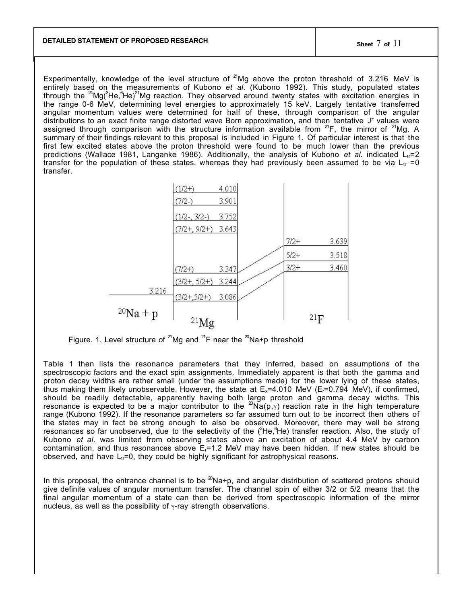Experimentally, knowledge of the level structure of <sup>21</sup>Mg above the proton threshold of 3.216 MeV is entirely based on the measurements of Kubono *et al.* (Kubono 1992). This study, populated states through the <sup>24</sup>Mg(<sup>3</sup>He, <sup>6</sup>He)<sup>21</sup>Mg reaction. They observed around twenty states with excitation energies in the range 0-6 MeV, determining level energies to approximately 15 keV. Largely tentative transferred angular momentum values were determined for half of these, through comparison of the angular distributions to an exact finite range distorted wave Born approximation, and then tentative J<sup>π</sup> values were assigned through comparison with the structure information available from  $21F$ , the mirror of  $21Mg$ . A summary of their findings relevant to this proposal is included in Figure 1. Of particular interest is that the first few excited states above the proton threshold were found to be much lower than the previous predictions (Wallace 1981, Langanke 1986). Additionally, the analysis of Kubono *et al.* indicated  $L<sub>tr</sub>=2$ transfer for the population of these states, whereas they had previously been assumed to be via  $L_{tr} = 0$ transfer.



Figure. 1. Level structure of <sup>21</sup>Mg and <sup>21</sup>F near the <sup>20</sup>Na+p threshold

Table 1 then lists the resonance parameters that they inferred, based on assumptions of the spectroscopic factors and the exact spin assignments. Immediately apparent is that both the gamma and proton decay widths are rather small (under the assumptions made) for the lower lying of these states, thus making them likely unobservable. However, the state at  $E_x=4.010$  MeV ( $E_x=0.794$  MeV), if confirmed, should be readily detectable, apparently having both large proton and gamma decay widths. This resonance is expected to be a major contributor to the <sup>20</sup>Na(p,  $\gamma$ ) reaction rate in the high temperature range (Kubono 1992). If the resonance parameters so far assumed turn out to be incorrect then others of the states may in fact be strong enough to also be observed. Moreover, there may well be strong resonances so far unobserved, due to the selectivity of the (<sup>3</sup>He, <sup>6</sup>He) transfer reaction. Also, the study of Kubono *et al.* was limited from observing states above an excitation of about 4.4 MeV by carbon contamination, and thus resonances above  $E_f$ =1.2 MeV may have been hidden. If new states should be observed, and have  $L<sub>tr</sub>=0$ , they could be highly significant for astrophysical reasons.

In this proposal, the entrance channel is to be  $^{20}$ Na+p, and angular distribution of scattered protons should give definite values of angular momentum transfer. The channel spin of either 3/2 or 5/2 means that the final angular momentum of a state can then be derived from spectroscopic information of the mirror nucleus, as well as the possibility of  $\gamma$ -ray strength observations.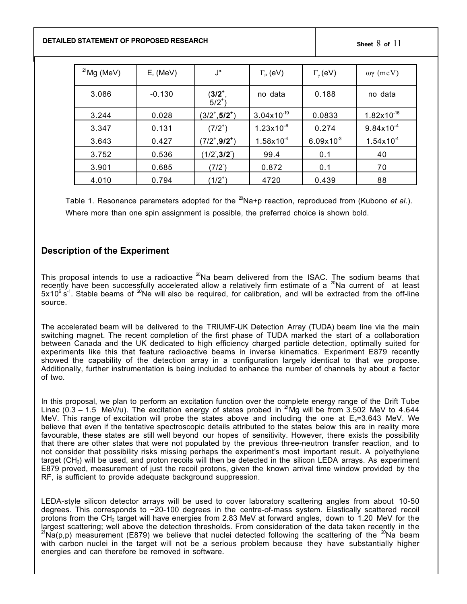**DETAILED STATEMENT OF PROPOSED RESEARCH Sheet** 8 **of** 11

| $^{21}$ Mg (MeV) | $E_r$ (MeV) | $\mathsf{J}^\pi$         | $\Gamma_{\rm p}$ (eV)  | $\Gamma_{\gamma}$ (eV) | ωγ (meV)               |
|------------------|-------------|--------------------------|------------------------|------------------------|------------------------|
| 3.086            | $-0.130$    | $(3/2^+,$<br>$5/2^{+}$ ) | no data                | 0.188                  | no data                |
| 3.244            | 0.028       | $(3/2^+, 5/2^+)$         | $3.04 \times 10^{-19}$ | 0.0833                 | $1.82 \times 10^{-16}$ |
| 3.347            | 0.131       | $(7/2^+)$                | $1.23 \times 10^{-6}$  | 0.274                  | $9.84 \times 10^{-4}$  |
| 3.643            | 0.427       | $(7/2^+, 9/2^+)$         | $1.58\times10^{4}$     | $6.09x10^{3}$          | $1.54 \times 10^{4}$   |
| 3.752            | 0.536       | (1/2, 3/2)               | 99.4                   | 0.1                    | 40                     |
| 3.901            | 0.685       | (7/2)                    | 0.872                  | 0.1                    | 70                     |
| 4.010            | 0.794       | $(1/2^+)$                | 4720                   | 0.439                  | 88                     |

Table 1. Resonance parameters adopted for the <sup>20</sup>Na+p reaction, reproduced from (Kubono *et al.*). Where more than one spin assignment is possible, the preferred choice is shown bold.

## **Description of the Experiment**

This proposal intends to use a radioactive  $^{20}$ Na beam delivered from the ISAC. The sodium beams that recently have been successfully accelerated allow a relatively firm estimate of a  $^{20}$ Na current of at least  $5x10^6$  s<sup>-1</sup>. Stable beams of <sup>20</sup>Ne will also be required, for calibration, and will be extracted from the off-line source.

The accelerated beam will be delivered to the TRIUMF-UK Detection Array (TUDA) beam line via the main switching magnet. The recent completion of the first phase of TUDA marked the start of a collaboration between Canada and the UK dedicated to high efficiency charged particle detection, optimally suited for experiments like this that feature radioactive beams in inverse kinematics. Experiment E879 recently showed the capability of the detection array in a configuration largely identical to that we propose. Additionally, further instrumentation is being included to enhance the number of channels by about a factor of two.

In this proposal, we plan to perform an excitation function over the complete energy range of the Drift Tube Linac (0.3 – 1.5 MeV/u). The excitation energy of states probed in <sup>21</sup>Mg will be from 3.502 MeV to 4.644 MeV. This range of excitation will probe the states above and including the one at  $E_x=3.643$  MeV. We believe that even if the tentative spectroscopic details attributed to the states below this are in reality more favourable, these states are still well beyond our hopes of sensitivity. However, there exists the possibility that there are other states that were not populated by the previous three-neutron transfer reaction, and to not consider that possibility risks missing perhaps the experiment's most important result. A polyethylene target (CH<sub>2</sub>) will be used, and proton recoils will then be detected in the silicon LEDA arrays. As experiment E879 proved, measurement of just the recoil protons, given the known arrival time window provided by the RF, is sufficient to provide adequate background suppression.

LEDA-style silicon detector arrays will be used to cover laboratory scattering angles from about 10-50 degrees. This corresponds to ~20-100 degrees in the centre-of-mass system. Elastically scattered recoil protons from the CH<sub>2</sub> target will have energies from 2.83 MeV at forward angles, down to 1.20 MeV for the largest scattering; well above the detection thresholds. From consideration of the data taken recently in the <sup>21</sup>Na(p,p) measurement (E879) we believe that nuclei detected following the scattering of the <sup>20</sup>Na beam with carbon nuclei in the target will not be a serious problem because they have substantially higher energies and can therefore be removed in software.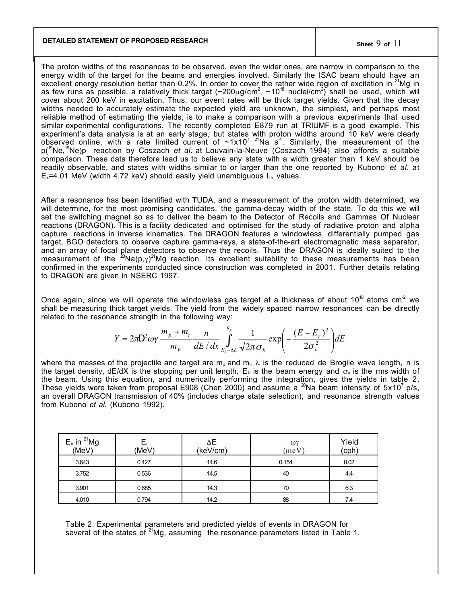### **DETAILED STATEMENT OF PROPOSED RESEARCH Sheet** 9 **of** 11

The proton widths of the resonances to be observed, even the wider ones, are narrow in comparison to the energy width of the target for the beams and energies involved. Similarly the ISAC beam should have an excellent energy resolution better than 0.2%. In order to cover the rather wide region of excitation in <sup>21</sup>Mg in as few runs as possible, a relatively thick target (~200µg/cm<sup>2</sup>, ~10<sup>18</sup> nuclei/cm<sup>2</sup>) shall be used, which will cover about 200 keV in excitation. Thus, our event rates will be thick target yields. Given that the decay widths needed to accurately estimate the expected yield are unknown, the simplest, and perhaps most reliable method of estimating the yields, is to make a comparison with a previous experiments that used similar experimental configurations. The recently completed E879 run at TRIUMF is a good example. This experiment's data analysis is at an early stage, but states with proton widths around 10 keV were clearly observed online, with a rate limited current of  $\sim 1 \times 10^{7}$  <sup>21</sup>Na s<sup>-1</sup>. Similarly, the measurement of the p(19Ne,19Ne)p reaction by Coszach *et al*. at Louvain-la-Neuve (Coszach 1994) also affords a suitable comparison. These data therefore lead us to believe any state with a width greater than 1 keV should be readily observable, and states with widths similar to or larger than the one reported by Kubono *et al.* at  $E_x$ =4.01 MeV (width 4.72 keV) should easily yield unambiguous  $L_{tr}$  values.

After a resonance has been identified with TUDA, and a measurement of the proton width determined, we will determine, for the most promising candidates, the gamma-decay width of the state. To do this we will set the switching magnet so as to deliver the beam to the Detector of Recoils and Gammas Of Nuclear reactions (DRAGON). This is a facility dedicated and optimised for the study of radiative proton and alpha capture reactions in inverse kinematics. The DRAGON features a windowless, differentially pumped gas target, BGO detectors to observe capture gamma-rays, a state-of-the-art electromagnetic mass separator, and an array of focal plane detectors to observe the recoils. Thus the DRAGON is ideally suited to the measurement of the  $20Na(p,\gamma)^{21}$ Mg reaction. Its excellent suitability to these measurements has been confirmed in the experiments conducted since construction was completed in 2001. Further details relating to DRAGON are given in NSERC 1997.

Once again, since we will operate the windowless gas target at a thickness of about 10<sup>18</sup> atoms cm<sup>2</sup> we shall be measuring thick target yields. The yield from the widely spaced narrow resonances can be directly related to the resonance strength in the following way:

$$
Y = 2\pi \mathsf{D}^2 \omega \gamma \frac{m_p + m_t}{m_p} \frac{n}{dE/dx} \int_{E_b - \Delta E}^{E_b} \frac{1}{\sqrt{2\pi} \sigma_b} \exp\left(-\frac{(E - E_r)^2}{2\sigma_b^2}\right) dE
$$

where the masses of the projectile and target are  $m_p$  and  $m_t$ ,  $\lambda$  is the reduced de Broglie wave length, n is the target density, dE/dX is the stopping per unit length,  $E<sub>b</sub>$  is the beam energy and  $\sigma<sub>b</sub>$  is the rms width of the beam. Using this equation, and numerically performing the integration, gives the yields in table 2. These yields were taken from proposal E908 (Chen 2000) and assume a  $^{\infty}$ Na beam intensity of 5x10<sup>7</sup> p/s, an overall DRAGON transmission of 40% (includes charge state selection), and resonance strength values from Kubono *et al.* (Kubono 1992).

| $E_x$ in $^{21}$ Mg<br>(MeV) | L۲<br>(MeV) | ΔΕ<br>(keV/cm) | ωγ<br>$(\mathrm{meV})$ | Yield<br>(cph) |
|------------------------------|-------------|----------------|------------------------|----------------|
| 3.643                        | 0.427       | 14.6           | 0.154                  | 0.02           |
| 3.752                        | 0.536       | 14.5           | 40                     | 44             |
| 3.901                        | 0.685       | 14.3           | 70                     | 6.3            |
| 4.010                        | 0.794       | 14.2           | 88                     | 74             |

Table 2. Experimental parameters and predicted yields of events in DRAGON for several of the states of  $^{21}$ Mg, assuming the resonance parameters listed in Table 1.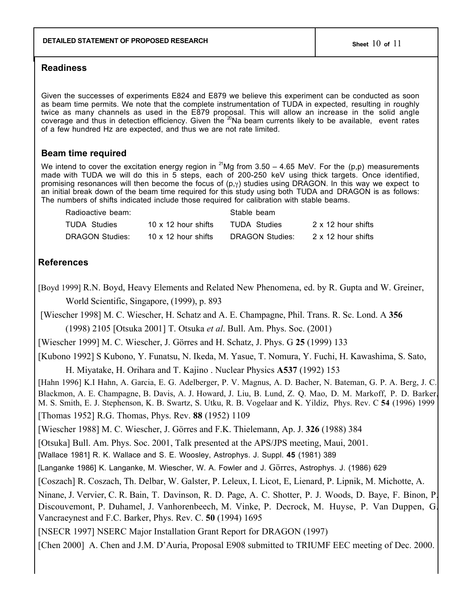## **Readiness**

Given the successes of experiments E824 and E879 we believe this experiment can be conducted as soon as beam time permits. We note that the complete instrumentation of TUDA in expected, resulting in roughly twice as many channels as used in the E879 proposal. This will allow an increase in the solid angle coverage and thus in detection efficiency. Given the <sup>20</sup>Na beam currents likely to be available, event rates of a few hundred Hz are expected, and thus we are not rate limited.

#### **Beam time required**

We intend to cover the excitation energy region in <sup>21</sup>Mg from 3.50 – 4.65 MeV. For the (p,p) measurements made with TUDA we will do this in 5 steps, each of 200-250 keV using thick targets. Once identified, promising resonances will then become the focus of  $(p, \gamma)$  studies using DRAGON. In this way we expect to an initial break down of the beam time required for this study using both TUDA and DRAGON is as follows: The numbers of shifts indicated include those required for calibration with stable beams.

| Radioactive beam: |                            | Stable beam     |                    |  |
|-------------------|----------------------------|-----------------|--------------------|--|
| TUDA Studies      | 10 $\times$ 12 hour shifts | TUDA Studies    | 2 x 12 hour shifts |  |
| DRAGON Studies:   | 10 x 12 hour shifts        | DRAGON Studies: | 2 x 12 hour shifts |  |

## **References**

[Boyd 1999] R.N. Boyd, Heavy Elements and Related New Phenomena, ed. by R. Gupta and W. Greiner, World Scientific, Singapore, (1999), p. 893

 [Wiescher 1998] M. C. Wiescher, H. Schatz and A. E. Champagne, Phil. Trans. R. Sc. Lond. A 356 (1998) 2105 [Otsuka 2001] T. Otsuka *et al*. Bull. Am. Phys. Soc. (2001)

[Wiescher 1999] M. C. Wiescher, J. Görres and H. Schatz, J. Phys. G 25 (1999) 133

[Kubono 1992] S Kubono, Y. Funatsu, N. Ikeda, M. Yasue, T. Nomura, Y. Fuchi, H. Kawashima, S. Sato,

H. Miyatake, H. Orihara and T. Kajino . Nuclear Physics A537 (1992) 153

[Hahn 1996] K.I Hahn, A. Garcia, E. G. Adelberger, P. V. Magnus, A. D. Bacher, N. Bateman, G. P. A. Berg, J. C. Blackmon, A. E. Champagne, B. Davis, A. J. Howard, J. Liu, B. Lund, Z. Q. Mao, D. M. Markoff, P. D. Barker, M. S. Smith, E. J. Stephenson, K. B. Swartz, S. Utku, R. B. Vogelaar and K. Yildiz, Phys. Rev. C 54 (1996) 1999 [Thomas 1952] R.G. Thomas, Phys. Rev. 88 (1952) 1109

[Wiescher 1988] M. C. Wiescher, J. Görres and F.K. Thielemann, Ap. J. 326 (1988) 384

[Otsuka] Bull. Am. Phys. Soc. 2001, Talk presented at the APS/JPS meeting, Maui, 2001.

[Wallace 1981] R. K. Wallace and S. E. Woosley, Astrophys. J. Suppl. **45** (1981) 389

[Langanke 1986] K. Langanke, M. Wiescher, W. A. Fowler and J. Görres, Astrophys. J. (1986) 629

[Coszach] R. Coszach, Th. Delbar, W. Galster, P. Leleux, I. Licot, E, Lienard, P. Lipnik, M. Michotte, A.

Ninane, J. Vervier, C. R. Bain, T. Davinson, R. D. Page, A. C. Shotter, P. J. Woods, D. Baye, F. Binon, P. Discouvemont, P. Duhamel, J. Vanhorenbeech, M. Vinke, P. Decrock, M. Huyse, P. Van Duppen, G. Vancraeynest and F.C. Barker, Phys. Rev. C. 50 (1994) 1695

[NSECR 1997] NSERC Major Installation Grant Report for DRAGON (1997)

[Chen 2000] A. Chen and J.M. D'Auria, Proposal E908 submitted to TRIUMF EEC meeting of Dec. 2000.